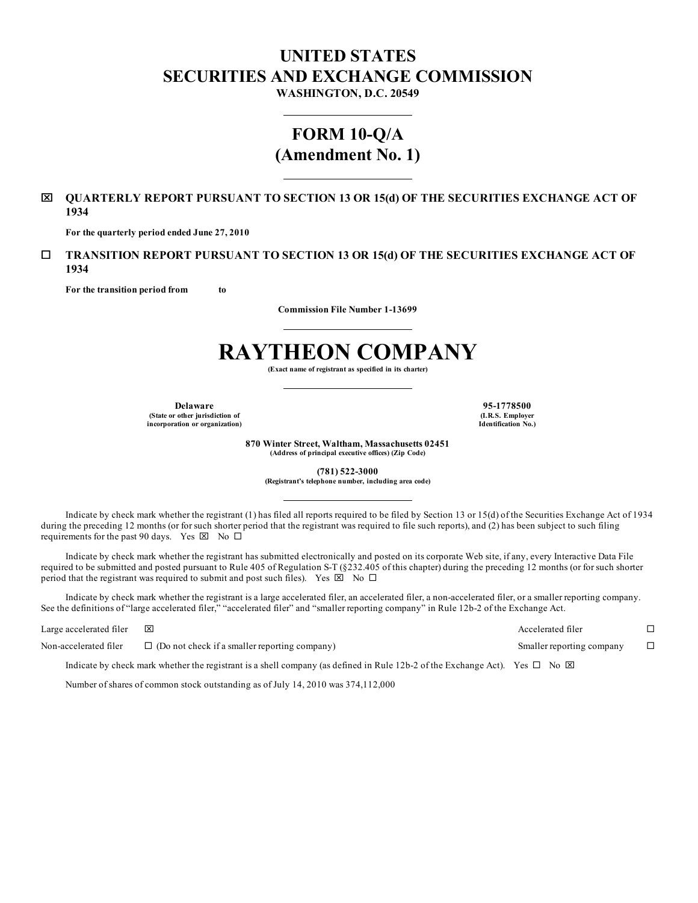## **UNITED STATES SECURITIES AND EXCHANGE COMMISSION**

**WASHINGTON, D.C. 20549**

### **FORM 10-Q/A (Amendment No. 1)**

### x **QUARTERLY REPORT PURSUANT TO SECTION 13 OR 15(d) OF THE SECURITIES EXCHANGE ACT OF 1934**

**For the quarterly period ended June 27, 2010**

### ¨ **TRANSITION REPORT PURSUANT TO SECTION 13 OR 15(d) OF THE SECURITIES EXCHANGE ACT OF 1934**

**For the transition period from to**

**Commission File Number 1-13699**

# **RAYTHEON COMPANY**

**(Exact name of registrant as specified in its charter)**

**Delaware 95-1778500 (State or other jurisdiction of incorporation or organization)**

**(I.R.S. Employer Identification No.)**

**870 Winter Street, Waltham, Massachusetts 02451 (Address of principal executive offices) (Zip Code)**

**(781) 522-3000**

**(Registrant's telephone number, including area code)**

Indicate by check mark whether the registrant (1) has filed all reports required to be filed by Section 13 or 15(d) of the Securities Exchange Act of 1934 during the preceding 12 months (or for such shorter period that the registrant was required to file such reports), and (2) has been subject to such filing requirements for the past 90 days. Yes  $\boxtimes$  No  $\Box$ 

Indicate by check mark whether the registrant has submitted electronically and posted on its corporate Web site, if any, every Interactive Data File required to be submitted and posted pursuant to Rule 405 of Regulation S-T (§232.405 of this chapter) during the preceding 12 months (or for such shorter period that the registrant was required to submit and post such files). Yes  $\boxtimes$  No  $\Box$ 

Indicate by check mark whether the registrant is a large accelerated filer, an accelerated filer, a non-accelerated filer, or a smaller reporting company. See the definitions of "large accelerated filer," "accelerated filer" and "smaller reporting company" in Rule 12b-2 of the Exchange Act.

| Large accelerated filer | $\overline{\mathbf{x}}$                                                                                                                    | Accelerated filer         |  |
|-------------------------|--------------------------------------------------------------------------------------------------------------------------------------------|---------------------------|--|
| Non-accelerated filer   | $\Box$ (Do not check if a smaller reporting company)                                                                                       | Smaller reporting company |  |
|                         | Indicate by check mark whether the registrant is a shell company (as defined in Rule 12b-2 of the Exchange Act). Yes $\Box$ No $\boxtimes$ |                           |  |

Number of shares of common stock outstanding as of July 14, 2010 was 374,112,000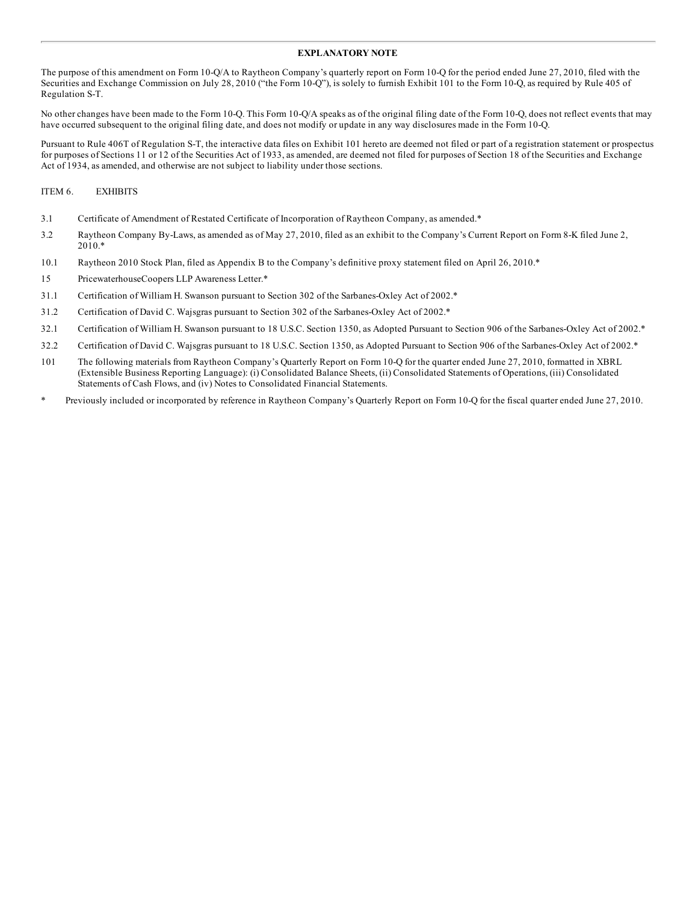#### **EXPLANATORY NOTE**

The purpose of this amendment on Form 10-Q/A to Raytheon Company's quarterly report on Form 10-Q for the period ended June 27, 2010, filed with the Securities and Exchange Commission on July 28, 2010 ("the Form 10-Q"), is solely to furnish Exhibit 101 to the Form 10-Q, as required by Rule 405 of Regulation S-T.

No other changes have been made to the Form 10-Q. This Form 10-Q/A speaks as of the original filing date of the Form 10-Q, does not reflect events that may have occurred subsequent to the original filing date, and does not modify or update in any way disclosures made in the Form 10-Q.

Pursuant to Rule 406T of Regulation S-T, the interactive data files on Exhibit 101 hereto are deemed not filed or part of a registration statement or prospectus for purposes of Sections 11 or 12 of the Securities Act of 1933, as amended, are deemed not filed for purposes of Section 18 of the Securities and Exchange Act of 1934, as amended, and otherwise are not subject to liability under those sections.

### ITEM 6. EXHIBITS

- 3.1 Certificate of Amendment of Restated Certificate of Incorporation of Raytheon Company, as amended.\*
- 3.2 Raytheon Company By-Laws, as amended as of May 27, 2010, filed as an exhibit to the Company's Current Report on Form 8-K filed June 2, 2010.\*
- 10.1 Raytheon 2010 Stock Plan, filed as Appendix B to the Company's definitive proxy statement filed on April 26, 2010.\*
- 15 PricewaterhouseCoopers LLP Awareness Letter.\*
- 31.1 Certification of William H. Swanson pursuant to Section 302 of the Sarbanes-Oxley Act of 2002.\*
- 31.2 Certification of David C. Wajsgras pursuant to Section 302 of the Sarbanes-Oxley Act of 2002.\*
- 32.1 Certification of William H. Swanson pursuant to 18 U.S.C. Section 1350, as Adopted Pursuant to Section 906 of the Sarbanes-Oxley Act of 2002.\*
- 32.2 Certification of David C. Wajsgras pursuant to 18 U.S.C. Section 1350, as Adopted Pursuant to Section 906 of the Sarbanes-Oxley Act of 2002.\*
- 101 The following materials from Raytheon Company's Quarterly Report on Form 10-Q for the quarter ended June 27, 2010, formatted in XBRL (Extensible Business Reporting Language): (i) Consolidated Balance Sheets, (ii) Consolidated Statements of Operations, (iii) Consolidated Statements of Cash Flows, and (iv) Notes to Consolidated Financial Statements.
- \* Previously included or incorporated by reference in Raytheon Company's Quarterly Report on Form 10-Q for the fiscal quarter ended June 27, 2010.